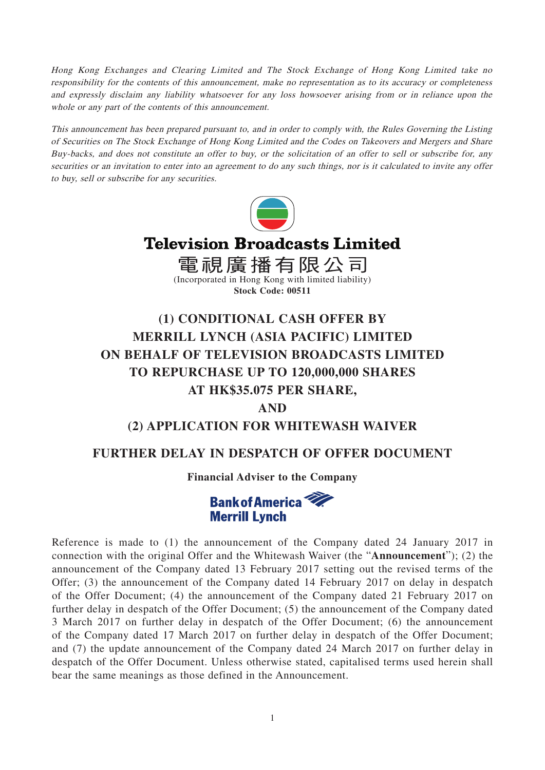Hong Kong Exchanges and Clearing Limited and The Stock Exchange of Hong Kong Limited take no responsibility for the contents of this announcement, make no representation as to its accuracy or completeness and expressly disclaim any liability whatsoever for any loss howsoever arising from or in reliance upon the whole or any part of the contents of this announcement.

This announcement has been prepared pursuant to, and in order to comply with, the Rules Governing the Listing of Securities on The Stock Exchange of Hong Kong Limited and the Codes on Takeovers and Mergers and Share Buy-backs, and does not constitute an offer to buy, or the solicitation of an offer to sell or subscribe for, any securities or an invitation to enter into an agreement to do any such things, nor is it calculated to invite any offer to buy, sell or subscribe for any securities.



# **Television Broadcasts Limited**

電視廣播有限公司 (Incorporated in Hong Kong with limited liability) **Stock Code: 00511**

# **(1) CONDITIONAL CASH OFFER BY MERRILL LYNCH (ASIA PACIFIC) LIMITED ON BEHALF OF TELEVISION BROADCASTS LIMITED TO REPURCHASE UP TO 120,000,000 SHARES AT HK\$35.075 PER SHARE,**

## **AND**

# **(2) APPLICATION FOR WHITEWASH WAIVER**

# **FURTHER DELAY IN DESPATCH OF OFFER DOCUMENT**

### **Financial Adviser to the Company**



Reference is made to (1) the announcement of the Company dated 24 January 2017 in connection with the original Offer and the Whitewash Waiver (the "**Announcement**"); (2) the announcement of the Company dated 13 February 2017 setting out the revised terms of the Offer; (3) the announcement of the Company dated 14 February 2017 on delay in despatch of the Offer Document; (4) the announcement of the Company dated 21 February 2017 on further delay in despatch of the Offer Document; (5) the announcement of the Company dated 3 March 2017 on further delay in despatch of the Offer Document; (6) the announcement of the Company dated 17 March 2017 on further delay in despatch of the Offer Document; and (7) the update announcement of the Company dated 24 March 2017 on further delay in despatch of the Offer Document. Unless otherwise stated, capitalised terms used herein shall bear the same meanings as those defined in the Announcement.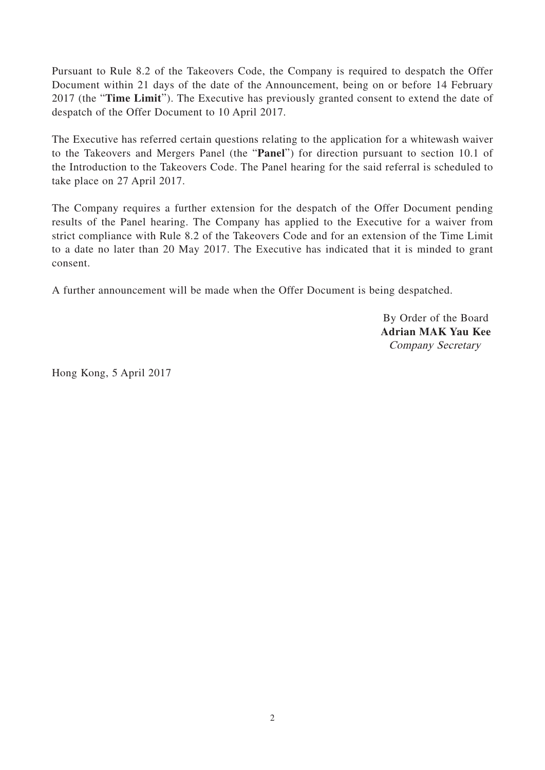Pursuant to Rule 8.2 of the Takeovers Code, the Company is required to despatch the Offer Document within 21 days of the date of the Announcement, being on or before 14 February 2017 (the "**Time Limit**"). The Executive has previously granted consent to extend the date of despatch of the Offer Document to 10 April 2017.

The Executive has referred certain questions relating to the application for a whitewash waiver to the Takeovers and Mergers Panel (the "**Panel**") for direction pursuant to section 10.1 of the Introduction to the Takeovers Code. The Panel hearing for the said referral is scheduled to take place on 27 April 2017.

The Company requires a further extension for the despatch of the Offer Document pending results of the Panel hearing. The Company has applied to the Executive for a waiver from strict compliance with Rule 8.2 of the Takeovers Code and for an extension of the Time Limit to a date no later than 20 May 2017. The Executive has indicated that it is minded to grant consent.

A further announcement will be made when the Offer Document is being despatched.

By Order of the Board **Adrian MAK Yau Kee** Company Secretary

Hong Kong, 5 April 2017